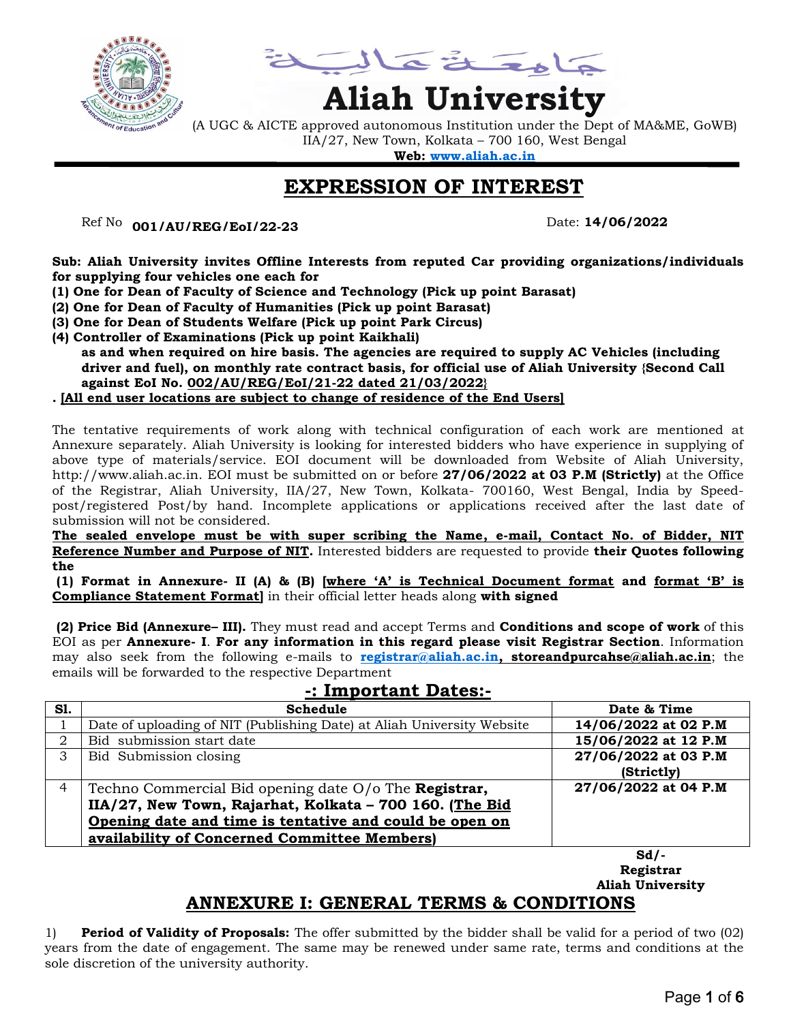

Lattacta

# **Aliah University**

(A UGC & AICTE approved autonomous Institution under the Dept of MA&ME, GoWB) IIA/27, New Town, Kolkata – 700 160, West Bengal

**Web: [www.aliah.ac.in](http://www.aliah.ac.in/)**

# **EXPRESSION OF INTEREST**

Ref No: ………………… Date: **14/06/2022 001/AU/REG/EoI/22-23**

**Sub: Aliah University invites Offline Interests from reputed Car providing organizations/individuals for supplying four vehicles one each for**

- **(1) One for Dean of Faculty of Science and Technology (Pick up point Barasat)**
- **(2) One for Dean of Faculty of Humanities (Pick up point Barasat)**
- **(3) One for Dean of Students Welfare (Pick up point Park Circus)**
- **(4) Controller of Examinations (Pick up point Kaikhali)**
	- **as and when required on hire basis. The agencies are required to supply AC Vehicles (including driver and fuel), on monthly rate contract basis, for official use of Aliah University {Second Call against EoI No. 002/AU/REG/EoI/21-22 dated 21/03/2022}**

#### **. [All end user locations are subject to change of residence of the End Users]**

The tentative requirements of work along with technical configuration of each work are mentioned at Annexure separately. Aliah University is looking for interested bidders who have experience in supplying of above type of materials/service. EOI document will be downloaded from Website of Aliah University, http://www.aliah.ac.in. EOI must be submitted on or before **27/06/2022 at 03 P.M (Strictly)** at the Office of the Registrar, Aliah University, IIA/27, New Town, Kolkata- 700160, West Bengal, India by Speedpost/registered Post/by hand. Incomplete applications or applications received after the last date of submission will not be considered.

**The sealed envelope must be with super scribing the Name, e-mail, Contact No. of Bidder, NIT Reference Number and Purpose of NIT.** Interested bidders are requested to provide **their Quotes following the** 

**(1) Format in Annexure- II (A) & (B) [where "A" is Technical Document format and format "B" is Compliance Statement Format]** in their official letter heads along **with signed** 

**(2) Price Bid (Annexure– III).** They must read and accept Terms and **Conditions and scope of work** of this EOI as per **Annexure- I**. **For any information in this regard please visit Registrar Section**. Information may also seek from the following e-mails to **[registrar@aliah.ac.in,](mailto:registrar@aliah.ac.in) storeandpurcahse@aliah.ac.in**; the emails will be forwarded to the respective Department

| -. IIII pullaill Dalts.- |                                                                        |                      |  |  |  |
|--------------------------|------------------------------------------------------------------------|----------------------|--|--|--|
| <b>S1.</b>               | <b>Schedule</b>                                                        | Date & Time          |  |  |  |
|                          | Date of uploading of NIT (Publishing Date) at Aliah University Website | 14/06/2022 at 02 P.M |  |  |  |
| 2                        | Bid submission start date                                              | 15/06/2022 at 12 P.M |  |  |  |
| 3                        | Bid Submission closing                                                 | 27/06/2022 at 03 P.M |  |  |  |
|                          |                                                                        | (Strictly)           |  |  |  |
| 4                        | Techno Commercial Bid opening date $O/O$ The <b>Registrar</b> ,        | 27/06/2022 at 04 P.M |  |  |  |
|                          | IIA/27, New Town, Rajarhat, Kolkata - 700 160. (The Bid                |                      |  |  |  |
|                          | Opening date and time is tentative and could be open on                |                      |  |  |  |
|                          | availability of Concerned Committee Members)                           |                      |  |  |  |

**-: Important Dates:-**

**Sd/- Registrar Aliah University**

## **ANNEXURE I: GENERAL TERMS & CONDITIONS**

1) **Period of Validity of Proposals:** The offer submitted by the bidder shall be valid for a period of two (02) years from the date of engagement. The same may be renewed under same rate, terms and conditions at the sole discretion of the university authority.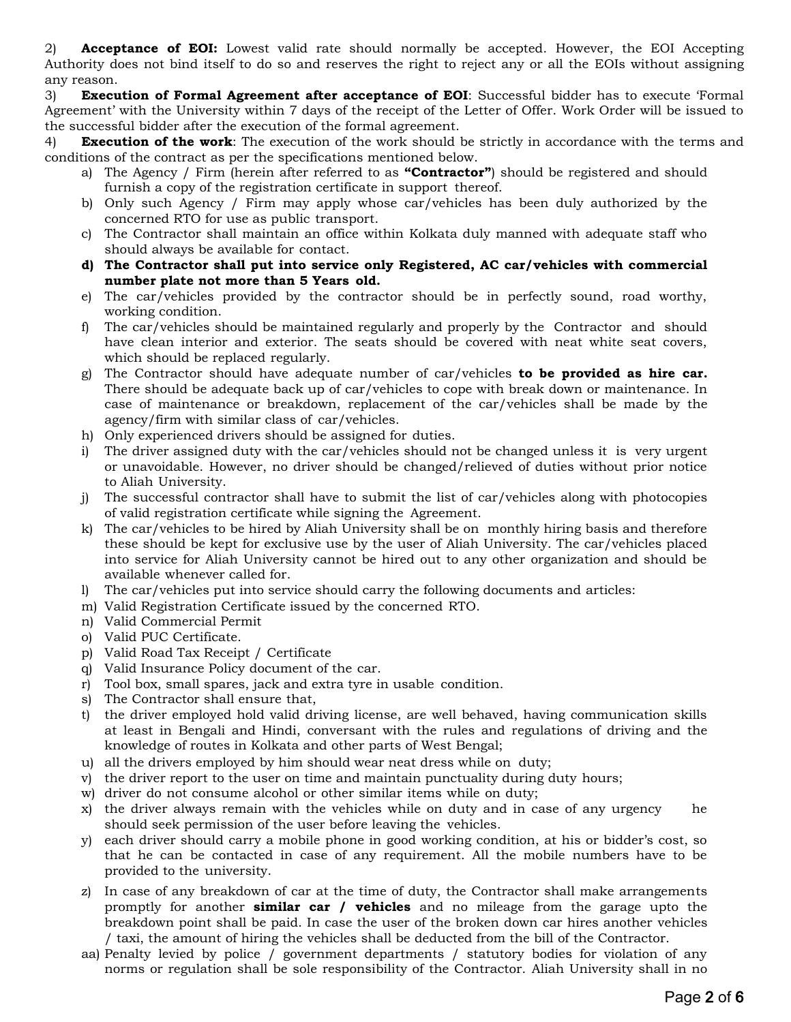2) **Acceptance of EOI:** Lowest valid rate should normally be accepted. However, the EOI Accepting Authority does not bind itself to do so and reserves the right to reject any or all the EOIs without assigning any reason.

3) **Execution of Formal Agreement after acceptance of EOI**: Successful bidder has to execute 'Formal Agreement' with the University within 7 days of the receipt of the Letter of Offer. Work Order will be issued to the successful bidder after the execution of the formal agreement.

4) **Execution of the work**: The execution of the work should be strictly in accordance with the terms and conditions of the contract as per the specifications mentioned below.

- a) The Agency / Firm (herein after referred to as **"Contractor"**) should be registered and should furnish a copy of the registration certificate in support thereof.
- b) Only such Agency / Firm may apply whose car/vehicles has been duly authorized by the concerned RTO for use as public transport.
- c) The Contractor shall maintain an office within Kolkata duly manned with adequate staff who should always be available for contact.
- **d) The Contractor shall put into service only Registered, AC car/vehicles with commercial number plate not more than 5 Years old.**
- e) The car/vehicles provided by the contractor should be in perfectly sound, road worthy, working condition.
- f) The car/vehicles should be maintained regularly and properly by the Contractor and should have clean interior and exterior. The seats should be covered with neat white seat covers, which should be replaced regularly.
- g) The Contractor should have adequate number of car/vehicles **to be provided as hire car.**  There should be adequate back up of car/vehicles to cope with break down or maintenance. In case of maintenance or breakdown, replacement of the car/vehicles shall be made by the agency/firm with similar class of car/vehicles.
- h) Only experienced drivers should be assigned for duties.
- i) The driver assigned duty with the car/vehicles should not be changed unless it is very urgent or unavoidable. However, no driver should be changed/relieved of duties without prior notice to Aliah University.
- j) The successful contractor shall have to submit the list of car/vehicles along with photocopies of valid registration certificate while signing the Agreement.
- k) The car/vehicles to be hired by Aliah University shall be on monthly hiring basis and therefore these should be kept for exclusive use by the user of Aliah University. The car/vehicles placed into service for Aliah University cannot be hired out to any other organization and should be available whenever called for.
- l) The car/vehicles put into service should carry the following documents and articles:
- m) Valid Registration Certificate issued by the concerned RTO.
- n) Valid Commercial Permit
- o) Valid PUC Certificate.
- p) Valid Road Tax Receipt / Certificate
- q) Valid Insurance Policy document of the car.
- r) Tool box, small spares, jack and extra tyre in usable condition.
- s) The Contractor shall ensure that,
- t) the driver employed hold valid driving license, are well behaved, having communication skills at least in Bengali and Hindi, conversant with the rules and regulations of driving and the knowledge of routes in Kolkata and other parts of West Bengal;
- u) all the drivers employed by him should wear neat dress while on duty;
- v) the driver report to the user on time and maintain punctuality during duty hours;
- w) driver do not consume alcohol or other similar items while on duty;
- x) the driver always remain with the vehicles while on duty and in case of any urgency he should seek permission of the user before leaving the vehicles.
- y) each driver should carry a mobile phone in good working condition, at his or bidder's cost, so that he can be contacted in case of any requirement. All the mobile numbers have to be provided to the university.
- z) In case of any breakdown of car at the time of duty, the Contractor shall make arrangements promptly for another **similar car / vehicles** and no mileage from the garage upto the breakdown point shall be paid. In case the user of the broken down car hires another vehicles / taxi, the amount of hiring the vehicles shall be deducted from the bill of the Contractor.
- aa) Penalty levied by police / government departments / statutory bodies for violation of any norms or regulation shall be sole responsibility of the Contractor. Aliah University shall in no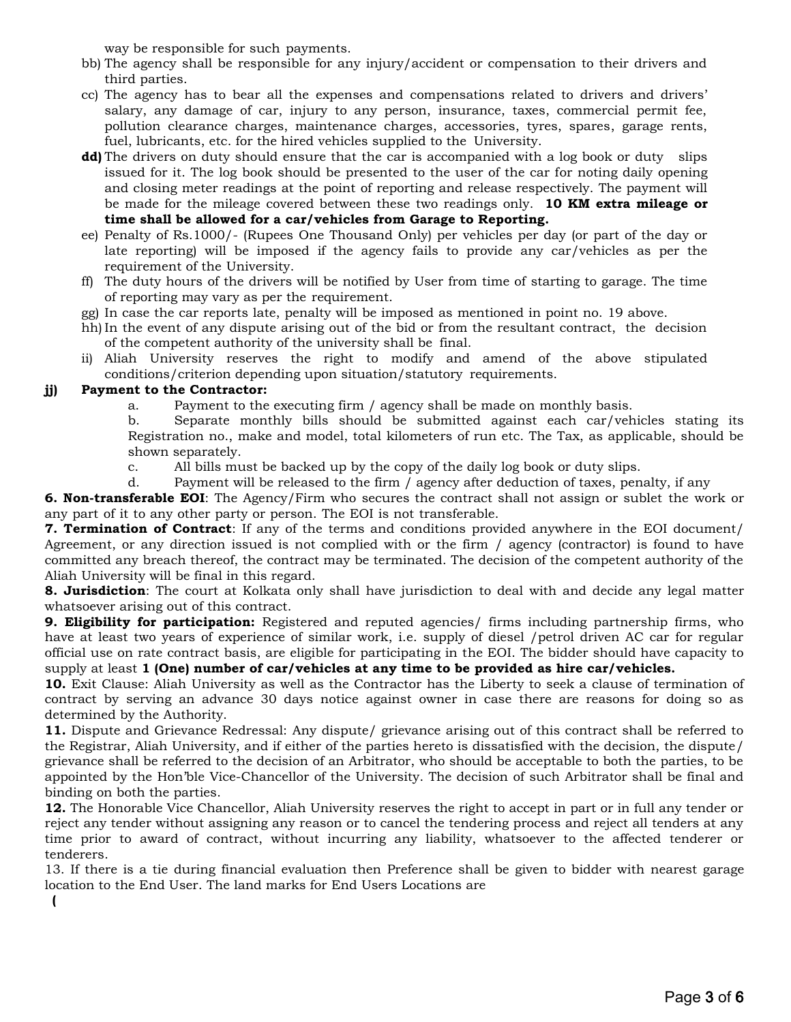way be responsible for such payments.

- bb) The agency shall be responsible for any injury/accident or compensation to their drivers and third parties.
- cc) The agency has to bear all the expenses and compensations related to drivers and drivers' salary, any damage of car, injury to any person, insurance, taxes, commercial permit fee, pollution clearance charges, maintenance charges, accessories, tyres, spares, garage rents, fuel, lubricants, etc. for the hired vehicles supplied to the University.
- **dd)** The drivers on duty should ensure that the car is accompanied with a log book or duty slips issued for it. The log book should be presented to the user of the car for noting daily opening and closing meter readings at the point of reporting and release respectively. The payment will be made for the mileage covered between these two readings only. **10 KM extra mileage or time shall be allowed for a car/vehicles from Garage to Reporting.**
- ee) Penalty of Rs.1000/- (Rupees One Thousand Only) per vehicles per day (or part of the day or late reporting) will be imposed if the agency fails to provide any car/vehicles as per the requirement of the University.
- ff) The duty hours of the drivers will be notified by User from time of starting to garage. The time of reporting may vary as per the requirement.
- gg) In case the car reports late, penalty will be imposed as mentioned in point no. 19 above.
- hh) In the event of any dispute arising out of the bid or from the resultant contract, the decision of the competent authority of the university shall be final.
- ii) Aliah University reserves the right to modify and amend of the above stipulated conditions/criterion depending upon situation/statutory requirements.

#### **jj) Payment to the Contractor:**

- a. Payment to the executing firm / agency shall be made on monthly basis.
- b. Separate monthly bills should be submitted against each car/vehicles stating its Registration no., make and model, total kilometers of run etc. The Tax, as applicable, should be shown separately.
- c. All bills must be backed up by the copy of the daily log book or duty slips.
- d. Payment will be released to the firm / agency after deduction of taxes, penalty, if any

**6. Non-transferable EOI**: The Agency/Firm who secures the contract shall not assign or sublet the work or any part of it to any other party or person. The EOI is not transferable.

**7. Termination of Contract**: If any of the terms and conditions provided anywhere in the EOI document/ Agreement, or any direction issued is not complied with or the firm / agency (contractor) is found to have committed any breach thereof, the contract may be terminated. The decision of the competent authority of the Aliah University will be final in this regard.

**8. Jurisdiction**: The court at Kolkata only shall have jurisdiction to deal with and decide any legal matter whatsoever arising out of this contract.

**9. Eligibility for participation:** Registered and reputed agencies/ firms including partnership firms, who have at least two years of experience of similar work, i.e. supply of diesel /petrol driven AC car for regular official use on rate contract basis, are eligible for participating in the EOI. The bidder should have capacity to supply at least **1 (One) number of car/vehicles at any time to be provided as hire car/vehicles.**

**10.** Exit Clause: Aliah University as well as the Contractor has the Liberty to seek a clause of termination of contract by serving an advance 30 days notice against owner in case there are reasons for doing so as determined by the Authority.

**11.** Dispute and Grievance Redressal: Any dispute/ grievance arising out of this contract shall be referred to the Registrar, Aliah University, and if either of the parties hereto is dissatisfied with the decision, the dispute/ grievance shall be referred to the decision of an Arbitrator, who should be acceptable to both the parties, to be appointed by the Hon'ble Vice-Chancellor of the University. The decision of such Arbitrator shall be final and binding on both the parties.

**12.** The Honorable Vice Chancellor, Aliah University reserves the right to accept in part or in full any tender or reject any tender without assigning any reason or to cancel the tendering process and reject all tenders at any time prior to award of contract, without incurring any liability, whatsoever to the affected tenderer or tenderers.

13. If there is a tie during financial evaluation then Preference shall be given to bidder with nearest garage location to the End User. The land marks for End Users Locations are

**(**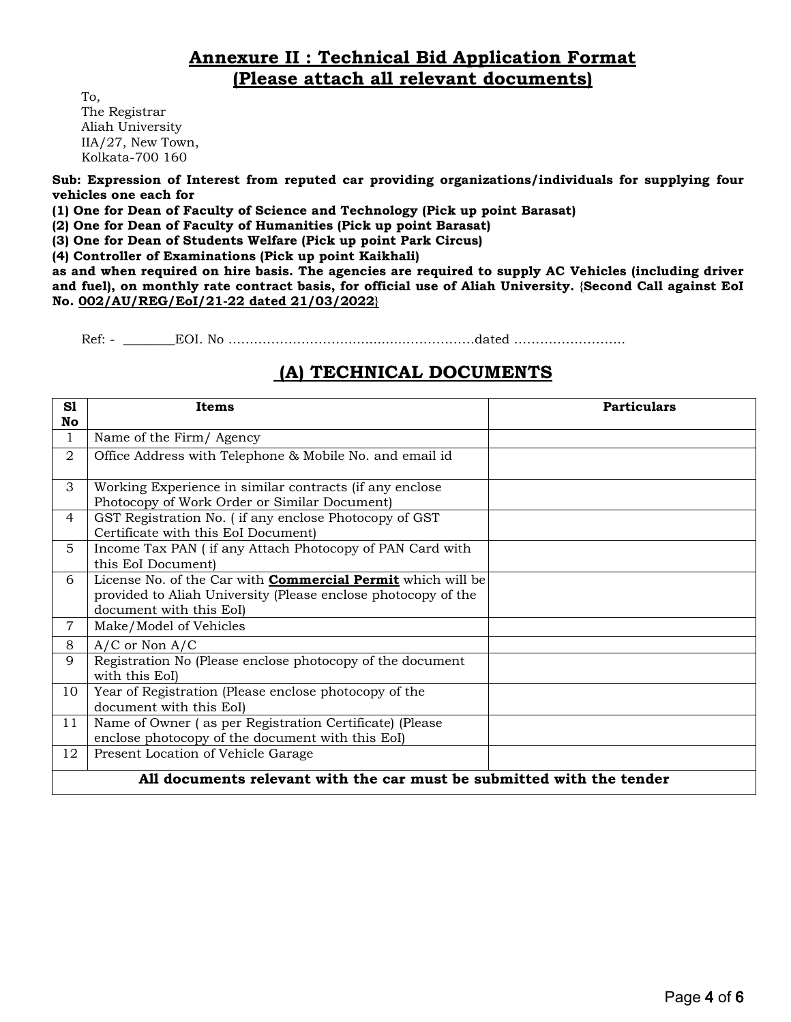### **Annexure II : Technical Bid Application Format (Please attach all relevant documents)**

To, The Registrar Aliah University IIA/27, New Town, Kolkata-700 160

**Sub: Expression of Interest from reputed car providing organizations/individuals for supplying four vehicles one each for**

**(1) One for Dean of Faculty of Science and Technology (Pick up point Barasat)**

**(2) One for Dean of Faculty of Humanities (Pick up point Barasat)**

**(3) One for Dean of Students Welfare (Pick up point Park Circus)**

**(4) Controller of Examinations (Pick up point Kaikhali)**

**as and when required on hire basis. The agencies are required to supply AC Vehicles (including driver and fuel), on monthly rate contract basis, for official use of Aliah University. {Second Call against EoI No. 002/AU/REG/EoI/21-22 dated 21/03/2022}**

Ref: - \_\_\_\_\_\_\_\_EOI. No ………………………................……………dated ……………………..

#### **(A) TECHNICAL DOCUMENTS**

| S1<br>No       | <b>Particulars</b><br>Items                                                                                                                                    |  |  |  |  |  |
|----------------|----------------------------------------------------------------------------------------------------------------------------------------------------------------|--|--|--|--|--|
| 1              | Name of the Firm/ Agency                                                                                                                                       |  |  |  |  |  |
| 2              | Office Address with Telephone & Mobile No. and email id                                                                                                        |  |  |  |  |  |
| 3              | Working Experience in similar contracts (if any enclose<br>Photocopy of Work Order or Similar Document)                                                        |  |  |  |  |  |
| 4              | GST Registration No. (if any enclose Photocopy of GST<br>Certificate with this EoI Document)                                                                   |  |  |  |  |  |
| 5.             | Income Tax PAN (if any Attach Photocopy of PAN Card with<br>this EoI Document)                                                                                 |  |  |  |  |  |
| 6              | License No. of the Car with <b>Commercial Permit</b> which will be<br>provided to Aliah University (Please enclose photocopy of the<br>document with this EoI) |  |  |  |  |  |
| $\overline{7}$ | Make/Model of Vehicles                                                                                                                                         |  |  |  |  |  |
| 8              | $A/C$ or Non $A/C$                                                                                                                                             |  |  |  |  |  |
| 9              | Registration No (Please enclose photocopy of the document<br>with this EoI)                                                                                    |  |  |  |  |  |
| 10             | Year of Registration (Please enclose photocopy of the<br>document with this EoI)                                                                               |  |  |  |  |  |
| 11             | Name of Owner (as per Registration Certificate) (Please<br>enclose photocopy of the document with this EoI)                                                    |  |  |  |  |  |
| 12             | Present Location of Vehicle Garage                                                                                                                             |  |  |  |  |  |
|                | All documents relevant with the car must be submitted with the tender                                                                                          |  |  |  |  |  |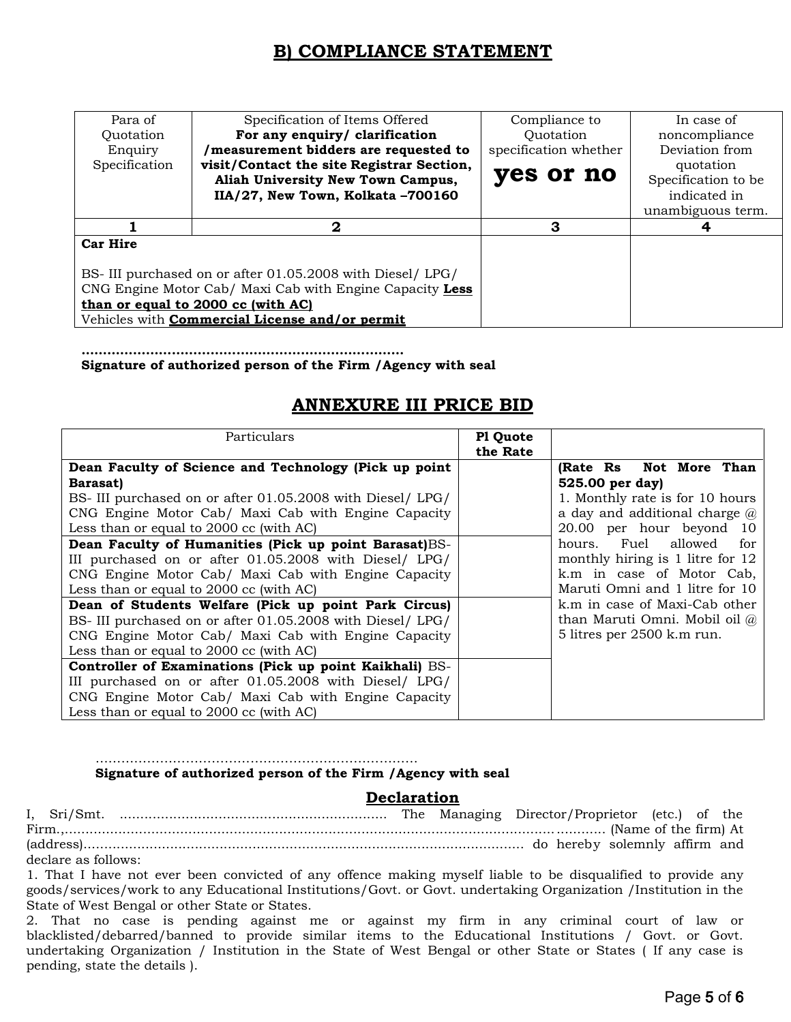# **B) COMPLIANCE STATEMENT**

| Para of         | Specification of Items Offered                                                              | Compliance to         | In case of                       |  |
|-----------------|---------------------------------------------------------------------------------------------|-----------------------|----------------------------------|--|
| Quotation       | For any enquiry/ clarification                                                              | Quotation             | noncompliance                    |  |
| Enquiry         | measurement bidders are requested to                                                        | specification whether | Deviation from                   |  |
| Specification   | visit/Contact the site Registrar Section,<br>Aliah University New Town Campus,              | yes or no             | quotation<br>Specification to be |  |
|                 | IIA/27, New Town, Kolkata-700160                                                            |                       | indicated in                     |  |
|                 |                                                                                             |                       | unambiguous term.                |  |
|                 |                                                                                             |                       |                                  |  |
|                 | $\mathbf{2}$                                                                                | З                     |                                  |  |
| <b>Car Hire</b> |                                                                                             |                       |                                  |  |
|                 |                                                                                             |                       |                                  |  |
|                 | BS-III purchased on or after 01.05.2008 with Diesel/ LPG/                                   |                       |                                  |  |
|                 | CNG Engine Motor Cab/ Maxi Cab with Engine Capacity Less                                    |                       |                                  |  |
|                 | than or equal to 2000 cc (with AC)<br>Vehicles with <b>Commercial License and/or permit</b> |                       |                                  |  |

**…………………………………………………………………** 

**Signature of authorized person of the Firm /Agency with seal**

#### **ANNEXURE III PRICE BID**

| Particulars                                                | Pl Quote<br>the Rate |                                      |
|------------------------------------------------------------|----------------------|--------------------------------------|
| Dean Faculty of Science and Technology (Pick up point      |                      | (Rate Rs Not More Than               |
| <b>Barasat</b> )                                           |                      | 525.00 per day)                      |
| BS- III purchased on or after 01.05.2008 with Diesel/ LPG/ |                      | 1. Monthly rate is for 10 hours      |
| CNG Engine Motor Cab/ Maxi Cab with Engine Capacity        |                      | a day and additional charge $\omega$ |
| Less than or equal to 2000 cc (with AC)                    |                      | 20.00 per hour beyond 10             |
| Dean Faculty of Humanities (Pick up point Barasat)BS-      |                      | hours. Fuel allowed for              |
| III purchased on or after 01.05.2008 with Diesel/ LPG/     |                      | monthly hiring is 1 litre for 12     |
| CNG Engine Motor Cab/ Maxi Cab with Engine Capacity        |                      | k.m in case of Motor Cab,            |
| Less than or equal to 2000 cc (with AC)                    |                      | Maruti Omni and 1 litre for 10       |
| Dean of Students Welfare (Pick up point Park Circus)       |                      | k.m in case of Maxi-Cab other        |
| BS-III purchased on or after 01.05.2008 with Diesel/ LPG/  |                      | than Maruti Omni. Mobil oil @        |
| CNG Engine Motor Cab/ Maxi Cab with Engine Capacity        |                      | 5 litres per 2500 k.m run.           |
| Less than or equal to 2000 cc (with AC)                    |                      |                                      |
| Controller of Examinations (Pick up point Kaikhali) BS-    |                      |                                      |
| III purchased on or after 01.05.2008 with Diesel/ LPG/     |                      |                                      |
| CNG Engine Motor Cab/ Maxi Cab with Engine Capacity        |                      |                                      |
| Less than or equal to 2000 cc (with AC)                    |                      |                                      |

#### ………………………………………………………………… **Signature of authorized person of the Firm /Agency with seal**

#### **Declaration**

I, Sri/Smt. ................................................................. The Managing Director/Proprietor (etc.) of the Firm.,................................................................................................................................... (Name of the firm) At (address)........................................................................................................... do hereby solemnly affirm and declare as follows:

1. That I have not ever been convicted of any offence making myself liable to be disqualified to provide any goods/services/work to any Educational Institutions/Govt. or Govt. undertaking Organization /Institution in the State of West Bengal or other State or States.

2. That no case is pending against me or against my firm in any criminal court of law or blacklisted/debarred/banned to provide similar items to the Educational Institutions / Govt. or Govt. undertaking Organization / Institution in the State of West Bengal or other State or States ( If any case is pending, state the details ).